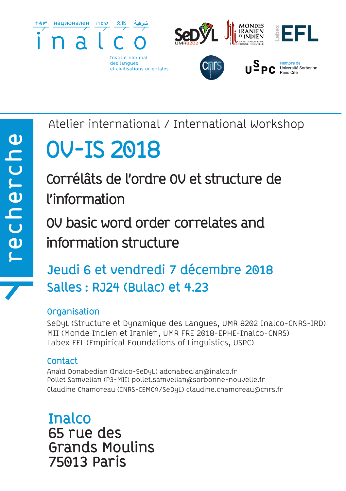

Atelier international / International Workshop

# **OV-IS 2018**

**Corrélâts de l'ordre OV et structure de l'information OV basic word order correlates and** 

**information structure**

# **Jeudi 6 et vendredi 7 décembre 2018 Salles : RJ24 (Bulac) et 4.23**

# **Organisation**

SeDyL (Structure et Dynamique des Langues, UMR 8202 Inalco-CNRS-IRD) MII (Monde Indien et Iranien, UMR FRE 2018-EPHE-Inalco-CNRS) Labex EFL (Empirical Foundations of Linguistics, USPC)

# **Contact**

Anaïd Donabedian (Inalco-SeDyL) adonabedian@inalco.fr Pollet Samvelian (P3-MII) pollet.samvelian@sorbonne-nouvelle.fr Claudine Chamoreau (CNRS-CEMCA/SeDyL) claudine.chamoreau@cnrs.fr

**Inalco 65 rue des Grands Moulins 75013 Paris**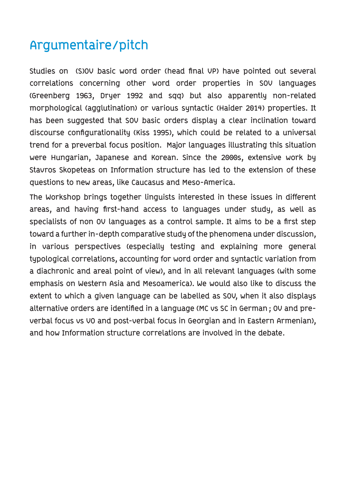# **Argumentaire/pitch**

**Studies on (S)OV basic word order (head final VP) have pointed out several correlations concerning other word order properties in SOV languages (Greenberg 1963, Dryer 1992 and sqq) but also apparently non-related morphological (agglutination) or various syntactic (Haider 2014) properties. It has been suggested that SOV basic orders display a clear inclination toward discourse configurationality (Kiss 1995), which could be related to a universal trend for a preverbal focus position. Major languages illustrating this situation were Hungarian, Japanese and Korean. Since the 2000s, extensive work by Stavros Skopeteas on Information structure has led to the extension of these questions to new areas, like Caucasus and Meso-America.**

**The Workshop brings together linguists interested in these issues in different areas, and having first-hand access to languages under study, as well as specialists of non OV languages as a control sample. It aims to be a first step toward a further in-depth comparative study of the phenomena under discussion, in various perspectives (especially testing and explaining more general typological correlations, accounting for word order and syntactic variation from a diachronic and areal point of view), and in all relevant languages (with some emphasis on Western Asia and Mesoamerica). We would also like to discuss the extent to which a given language can be labelled as SOV, when it also displays alternative orders are identified in a language (MC vs SC in German ; OV and preverbal focus vs VO and post-verbal focus in Georgian and in Eastern Armenian), and how Information structure correlations are involved in the debate.**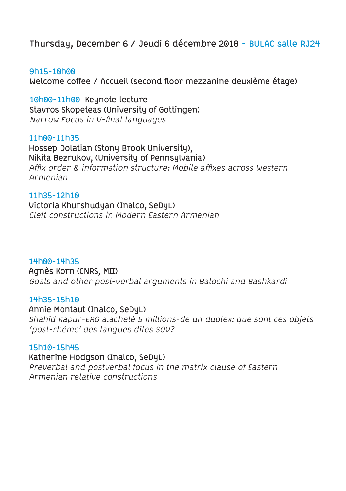# **Thursday, December 6 / Jeudi 6 décembre 2018 - BULAC salle RJ24**

#### **9h15-10h00**

**Welcome coffee / Accueil (second floor mezzanine deuxième étage)**

**10h00-11h00 Keynote lecture Stavros Skopeteas (University of Gottingen)**  Narrow Focus in V-final languages

#### **11h00-11h35**

**Hossep Dolatian (Stony Brook University), Nikita Bezrukov, (University of Pennsylvania)** Affix order & information structure: Mobile affixes across Western Armenian

#### **11h35-12h10**

**Victoria Khurshudyan (Inalco, SeDyL)** Cleft constructions in Modern Eastern Armenian

#### **14h00-14h35**

**Agnès Korn (CNRS, MII)** 

Goals and other post-verbal arguments in Balochi and Bashkardi

#### **14h35-15h10**

**Annie Montaut (Inalco, SeDyL)** Shahid Kapur-ERG a.acheté 5 millions-de un duplex: que sont ces objets 'post-rhème' des langues dites SOV?

#### **15h10-15h45**

**Katherine Hodgson (Inalco, SeDyL)** Preverbal and postverbal focus in the matrix clause of Eastern Armenian relative constructions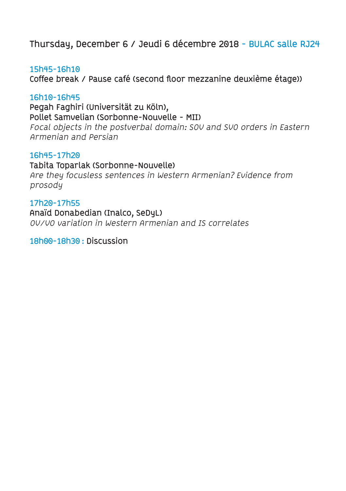# **Thursday, December 6 / Jeudi 6 décembre 2018 - BULAC salle RJ24**

**15h45-16h10 Coffee break / Pause café (second floor mezzanine deuxième étage))**

#### **16h10-16h45**

**Pegah Faghiri (Universität zu Köln), Pollet Samvelian (Sorbonne-Nouvelle - MII)**  Focal objects in the postverbal domain: SOV and SVO orders in Eastern Armenian and Persian

### **16h45-17h20**

**Tabita Toparlak (Sorbonne-Nouvelle)** Are they focusless sentences in Western Armenian? Evidence from prosody

**17h20-17h55 Anaïd Donabedian (Inalco, SeDyL)** OV/VO variation in Western Armenian and IS correlates

**18h00-18h30 : Discussion**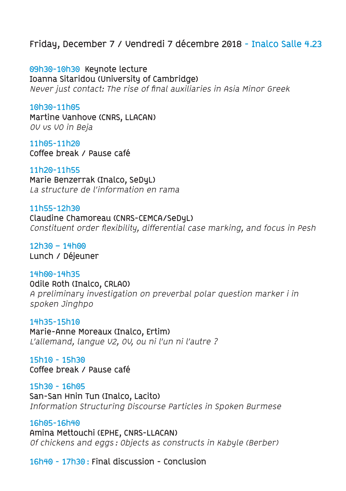# **Friday, December 7 / Vendredi 7 décembre 2018 - Inalco Salle 4.23**

**09h30-10h30 Keynote lecture Ioanna Sitaridou (University of Cambridge)**  Never just contact: The rise of final auxiliaries in Asia Minor Greek

**10h30-11h05 Martine Vanhove (CNRS, LLACAN)** OV vs VO in Beja

**11h05-11h20 Coffee break / Pause café**

**11h20-11h55 Marie Benzerrak (Inalco, SeDyL)** La structure de l'information en rama

**11h55-12h30 Claudine Chamoreau (CNRS-CEMCA/SeDyL)** Constituent order flexibility, differential case marking, and focus in Pesh

**12h30 – 14h00 Lunch / Déjeuner**

**14h00-14h35 Odile Roth (Inalco, CRLAO)** A preliminary investigation on preverbal polar question marker i in spoken Jinghpo

**14h35-15h10 Marie-Anne Moreaux (Inalco, Ertim)** L'allemand, langue V2, OV, ou ni l'un ni l'autre ?

**15h10 - 15h30 Coffee break / Pause café**

**15h30 - 16h05 San-San Hnin Tun (Inalco, Lacito)** Information Structuring Discourse Particles in Spoken Burmese

**16h05-16h40 Amina Mettouchi (EPHE, CNRS-LLACAN)** Of chickens and eggs : Objects as constructs in Kabyle (Berber)

**16h40 - 17h30 : Final discussion - Conclusion**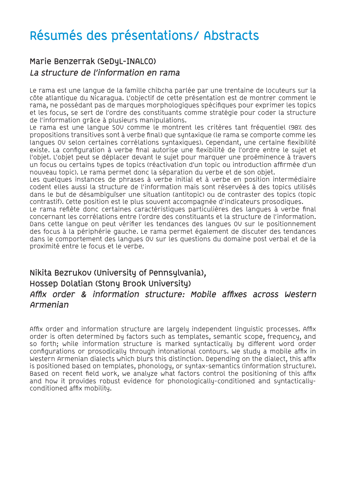### **Marie Benzerrak (SeDyL-INALCO) La structure de l'information en rama**

Le rama est une langue de la famille chibcha parlée par une trentaine de locuteurs sur la côte atlantique du Nicaragua. L'objectif de cette présentation est de montrer comment le rama, ne possédant pas de marques morphologiques spécifiques pour exprimer les topics et les focus, se sert de l'ordre des constituants comme stratégie pour coder la structure de l'information grâce à plusieurs manipulations.

Le rama est une langue SOV comme le montrent les critères tant fréquentiel (98% des propositions transitives sont à verbe final) que syntaxique (le rama se comporte comme les langues OV selon certaines corrélations syntaxiques). Cependant, une certaine flexibilité existe. La configuration à verbe final autorise une flexibilité de l'ordre entre le sujet et l'objet. L'objet peut se déplacer devant le sujet pour marquer une proéminence à travers un focus ou certains types de topics (réactivation d'un topic ou introduction affirmée d'un nouveau topic). Le rama permet donc la séparation du verbe et de son objet.

Les quelques instances de phrases à verbe initial et à verbe en position intermédiaire codent elles aussi la structure de l'information mais sont réservées à des topics utilisés dans le but de désambiguïser une situation (antitopic) ou de contraster des topics (topic contrastif). Cette position est le plus souvent accompagnée d'indicateurs prosodiques.

Le rama reflète donc certaines caractéristiques particulières des langues à verbe final concernant les corrélations entre l'ordre des constituants et la structure de l'information. Dans cette langue on peut vérifier les tendances des langues OV sur le positionnement des focus à la périphérie gauche. Le rama permet également de discuter des tendances dans le comportement des langues OV sur les questions du domaine post verbal et de la proximité entre le focus et le verbe.

### **Nikita Bezrukov (University of Pennsylvania), Hossep Dolatian (Stony Brook University) Affix order & information structure: Mobile affixes across Western Armenian**

Affix order and information structure are largely independent linguistic processes. Affix order is often determined by factors such as templates, semantic scope, frequency, and so forth; while information structure is marked syntactically by different word order configurations or prosodically through intonational contours. We study a mobile affix in Western Armenian dialects which blurs this distinction. Depending on the dialect, this affix is positioned based on templates, phonology, or syntax-semantics (information structure). Based on recent field work, we analyze what factors control the positioning of this affix and how it provides robust evidence for phonologically-conditioned and syntacticallyconditioned affix mobility.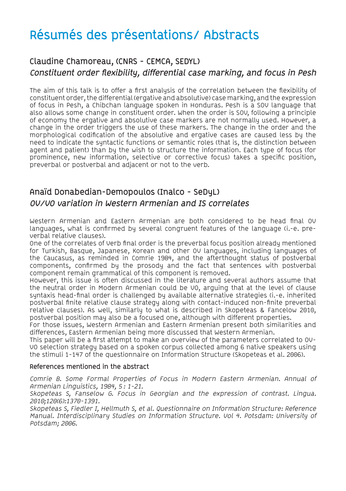# **Claudine Chamoreau, (CNRS - CEMCA, SEDYL) Constituent order flexibility, differential case marking, and focus in Pesh**

The aim of this talk is to offer a first analysis of the correlation between the flexibility of constituent order, the differential (ergative and absolutive) case marking, and the expression of focus in Pesh, a Chibchan language spoken in Honduras. Pesh is a SOV language that also allows some change in constituent order. When the order is SOV, following a principle of economy the ergative and absolutive case markers are not normally used. However, a change in the order triggers the use of these markers. The change in the order and the morphological codification of the absolutive and ergative cases are caused less by the need to indicate the syntactic functions or semantic roles (that is, the distinction between agent and patient) than by the wish to structure the information. Each type of focus (for prominence, new information, selective or corrective focus) takes a specific position, preverbal or postverbal and adjacent or not to the verb.

# **Anaïd Donabedian-Demopoulos (Inalco - SeDyL) OV/VO variation in Western Armenian and IS correlates**

Western Armenian and Eastern Armenian are both considered to be head final OV languages, what is confirmed by several congruent features of the language (i.-e. preverbal relative clauses).

One of the correlates of Verb final order is the preverbal focus position already mentioned for Turkish, Basque, Japanese, Korean and other OV languages, including languages of the Caucasus, as reminded in Comrie 1984, and the afterthought status of postverbal components, confirmed by the prosody and the fact that sentences with postverbal component remain grammatical of this component is removed.

However, this issue is often discussed in the literature and several authors assume that the neutral order in Modern Armenian could be VO, arguing that at the level of clause syntaxis head-final order is challenged by available alternative strategies (i.-e. inherited postverbal finite relative clause strategy along with contact-induced non-finite preverbal relative clauses). As well, similarly to what is described in Skopeteas & Fancelow 2010, postverbal position may also be a focused one, although with different properties.

For those issues, Western Armenian and Eastern Armenian present both similarities and differences, Eastern Armenian being more discussed that Western Armenian.

This paper will be a first attempt to make an overview of the parameters correlated to OV-VO selection strategy based on a spoken corpus collected among 6 native speakers using the stimuli 1-147 of the questionnaire on Information Structure (Skopeteas et al. 2006).

#### **References mentioned in the abstract**

Comrie B. Some Formal Properties of Focus in Modern Eastern Armenian. Annual of Armenian Linguistics, 1984, 5: 1-21.

Skopeteas S, Fanselow G. Focus in Georgian and the expression of contrast. Lingua. 2010;120(6):1370-1391.

Skopeteas S, Fiedler I, Hellmuth S, et al. Questionnaire on Information Structure: Reference Manual. Interdisciplinary Studies on Information Structure. Vol 4. Potsdam: University of Potsdam; 2006.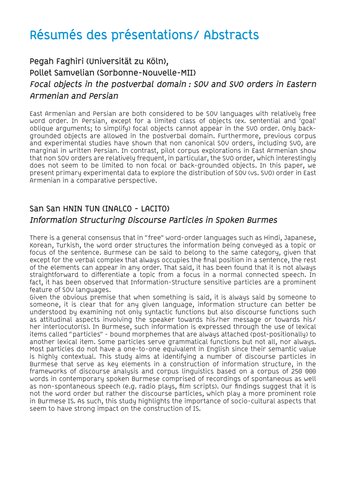# **Pegah Faghiri (Universität zu Köln), Pollet Samvelian (Sorbonne-Nouvelle-MII) Focal objects in the postverbal domain : SOV and SVO orders in Eastern Armenian and Persian**

East Armenian and Persian are both considered to be SOV languages with relatively free word order. In Persian, except for a limited class of objects (ex. sentential and 'goal' oblique arguments; to simplify) focal objects cannot appear in the SVO order. Only backgrounded objects are allowed in the postverbal domain. Furthermore, previous corpus and experimental studies have shown that non canonical SOV orders, including SVO, are marginal in written Persian. In contrast, pilot corpus explorations in East Armenian show that non SOV orders are relatively frequent, in particular, the SVO order, which interestingly does not seem to be limited to non focal or back-grounded objects. In this paper, we present primary experimental data to explore the distribution of SOV (vs. SVO) order in East Armenian in a comparative perspective.

# **San San HNIN TUN (INALCO - LACITO)**

#### **Information Structuring Discourse Particles in Spoken Burmes**

There is a general consensus that in "free" word-order languages such as Hindi, Japanese, Korean, Turkish, the word order structures the information being conveyed as a topic or focus of the sentence. Burmese can be said to belong to the same category, given that except for the verbal complex that always occupies the final position in a sentence, the rest of the elements can appear in any order. That said, it has been found that it is not always straightforward to differentiate a topic from a focus in a normal connected speech. In fact, it has been observed that Information-Structure sensitive particles are a prominent feature of SOV languages.

Given the obvious premise that when something is said, it is always said by someone to someone, it is clear that for any given language, information structure can better be understood by examining not only syntactic functions but also discourse functions such as attitudinal aspects involving the speaker towards his/her message or towards his/ her interlocutor(s). In Burmese, such information is expressed through the use of lexical items called "particles" - bound morphemes that are always attached (post-positionally) to another lexical item. Some particles serve grammatical functions but not all, nor always. Most particles do not have a one-to-one equivalent in English since their semantic value is highly contextual. This study aims at identifying a number of discourse particles in Burmese that serve as key elements in a construction of information structure, in the frameworks of discourse analysis and corpus linguistics based on a corpus of 250 000 words in contemporary spoken Burmese comprised of recordings of spontaneous as well as non-spontaneous speech (e.g. radio plays, film scripts). Our findings suggest that it is not the word order but rather the discourse particles, which play a more prominent role in Burmese IS. As such, this study highlights the importance of socio-cultural aspects that seem to have strong impact on the construction of IS.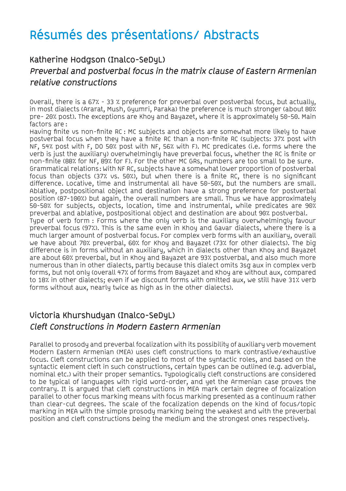# **Katherine Hodgson (Inalco-SeDyL) Preverbal and postverbal focus in the matrix clause of Eastern Armenian relative constructions**

Overall, there is a 67% - 33 % preference for preverbal over postverbal focus, but actually, in most dialects (Ararat, Mush, Gyumri, Paraka) the preference is much stronger (about 80% pre- 20% post). The exceptions are Khoy and Bayazet, where it is approximately 50-50. Main factors are :

Having finite vs non-finite RC : MC subjects and objects are somewhat more likely to have postverbal focus when they have a finite RC than a non-finite RC (subjects: 37% post with NF, 54% post with F, DO 50% post with NF, 56% with F). MC predicates (i.e. forms where the verb is just the auxiliary) overwhelmingly have preverbal focus, whether the RC is finite or non-finite (88% for NF, 89% for F). For the other MC GRs, numbers are too small to be sure. Grammatical relations : With NF RC, subjects have a somewhat lower proportion of postverbal focus than objects (37% vs. 50%), but when there is a finite RC, there is no significant difference. Locative, time and instrumental all have 50-50%, but the numbers are small. Ablative, postpositional object and destination have a strong preference for postverbal position (87-100%) but again, the overall numbers are small. Thus we have approximately 50-50% for subjects, objects, location, time and instrumental, while predicates are 90% preverbal and ablative, postpositional object and destination are about 90% postverbal. Type of verb form : Forms where the only verb is the auxiliary overwhelmingly favour preverbal focus (97%). This is the same even in Khoy and Gavar dialects, where there is a much larger amount of postverbal focus. For complex verb forms with an auxiliary, overall we have about 70% preverbal, 60% for Khoy and Bayazet (73% for other dialects). The big difference is in forms without an auxiliary, which in dialects other than Khoy and Bayazet are about 60% preverbal, but in Khoy and Bayazet are 93% postverbal, and also much more numerous than in other dialects, partly because this dialect omits 3sg aux in complex verb forms, but not only (overall 47% of forms from Bayazet and Khoy are without aux, compared to 18% in other dialects; even if we discount forms with omitted aux, we still have 31% verb forms without aux, nearly twice as high as in the other dialects).

### **Victoria Khurshudyan (Inalco-SeDyL) Cleft Constructions in Modern Eastern Armenian**

Parallel to prosody and preverbal focalization with its possibility of auxiliary verb movement Modern Eastern Armenian (MEA) uses cleft constructions to mark contrastive/exhaustive focus. Cleft constructions can be applied to most of the syntactic roles, and based on the syntactic element cleft in such constructions, certain types can be outlined (e.g. adverbial, nominal etc.) with their proper semantics. Typologically cleft constructions are considered to be typical of languages with rigid word-order, and yet the Armenian case proves the contrary. It is argued that cleft constructions in MEA mark certain degree of focalization parallel to other focus marking means with focus marking presented as a continuum rather than clear-cut degrees. The scale of the focalization depends on the kind of focus/topic marking in MEA with the simple prosody marking being the weakest and with the preverbal position and cleft constructions being the medium and the strongest ones respectively.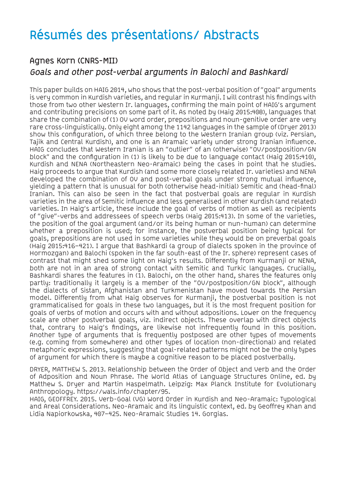### **Agnes Korn (CNRS-MII) Goals and other post-verbal arguments in Balochi and Bashkardi**

This paper builds on HAIG 2014, who shows that the post-verbal position of "goal" arguments is very common in Kurdish varieties, and regular in Kurmanji. I will contrast his findings with those from two other Western Ir. languages, confirming the main point of HAIG's argument and contributing precisions on some part of it. As noted by (Haig 2015:408), languages that share the combination of (1) OV word order, prepositions and noun-genitive order are very rare cross-linguistically. Only eight among the 1142 languages in the sample of (Dryer 2013) show this configuration, of which three belong to the Western Iranian group (viz. Persian, Tajik and Central Kurdish), and one is an Aramaic variety under strong Iranian influence. HAIG concludes that Western Iranian is an "outlier" of an (otherwise) "OV/postposition/GN block" and the configuration in (1) is likely to be due to language contact (Haig 2015:410), Kurdish and NENA (Northeastern Neo-Aramaic) being the cases in point that he studies. Haig proceeds to argue that Kurdish (and some more closely related Ir. varieties) and NENA developed the combination of OV and post-verbal goals under strong mutual influence, yielding a pattern that is unusual for both (otherwise head-initial) Semitic and (head-final) Iranian. This can also be seen in the fact that postverbal goals are regular in Kurdish varieties in the area of Semitic influence and less generalised in other Kurdish (and related) varieties. In Haig's article, these include the goal of verbs of motion as well as recipients of "give"-verbs and addressees of speech verbs (Haig 2015:413). In some of the varieties, the position of the goal argument (and/or its being human or nun-human) can determine whether a preposition is used; for instance, the postverbal position being typical for goals, prepositions are not used in some varieties while they would be on preverbal goals (Haig 2015:416–421). I argue that Bashkardi (a group of dialects spoken in the province of Hormozgan) and Balochi (spoken in the far south-east of the Ir. sphere) represent cases of contrast that might shed some light on Haig's results. Differently from Kurmanji or NENA, both are not in an area of strong contact with Semitic and Turkic languages. Crucially, Bashkardi shares the features in (1). Balochi, on the other hand, shares the features only partly: traditionally it largely is a member of the "OV/postposition/GN block", although the dialects of Sistan, Afghanistan and Turkmenistan have moved towards the Persian model. Differently from what Haig observes for Kurmanji, the postverbal position is not grammaticalised for goals in these two languages, but it is the most frequent position for goals of verbs of motion and occurs with and without adpositions. Lower on the frequency scale are other postverbal goals, viz. indirect objects. These overlap with direct objects that, contrary to Haig's findings, are likewise not infrequently found in this position. Another type of arguments that is frequently postposed are other types of movements (e.g. coming from somewhere) and other types of location (non-directional) and related metaphoric expressions, suggesting that goal-related patterns might not be the only types of argument for which there is maybe a cognitive reason to be placed postverbally.

DRYER, MATTHEW S. 2013. Relationship between the Order of Object and Verb and the Order of Adposition and Noun Phrase. The World Atlas of Language Structures Online, ed. by Matthew S. Dryer and Martin Haspelmath. Leipzig: Max Planck Institute for Evolutionary Anthropology. https://wals.info/chapter/95.

HAIG, GEOFFREY. 2015. Verb-Goal (VG) Word Order in Kurdish and Neo-Aramaic: Typological and Areal Considerations. Neo-Aramaic and its linguistic context, ed. by Geoffrey Khan and Lidia Napiorkowska, 407–425. Neo-Aramaic Studies 14. Gorgias.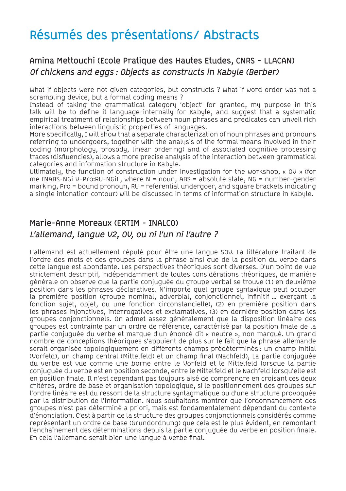# **Amina Mettouchi (Ecole Pratique des Hautes Etudes, CNRS - LLACAN) Of chickens and eggs : Objects as constructs in Kabyle (Berber)**

What if objects were not given categories, but constructs ? What if word order was not a scrambling device, but a formal coding means ?

Instead of taking the grammatical category 'object' for granted, my purpose in this talk will be to define it language-internally for Kabyle, and suggest that a systematic empirical treatment of relationships between noun phrases and predicates can unveil rich interactions between linguistic properties of languages.

More specifically, I will show that a separate characterization of noun phrases and pronouns referring to undergoers, together with the analysis of the formal means involved in their coding (morphology, prosody, linear ordering) and of associated cognitive processing traces (disfluencies), allows a more precise analysis of the interaction between grammatical categories and information structure in Kabyle.

Ultimately, the function of construction under investigation for the workshop, « OV » (for me  $INABS-NGI$  V-Pro:RU-NGIJ, where N = noun, ABS = absolute state, NG = number-gender marking, Pro = bound pronoun, RU = referential undergoer, and square brackets indicating a single intonation contour) will be discussed in terms of information structure in Kabyle.

### **Marie-Anne Moreaux (ERTIM - INALCO) L'allemand, langue V2, OV, ou ni l'un ni l'autre ?**

L'allemand est actuellement réputé pour être une langue SOV. La littérature traitant de l'ordre des mots et des groupes dans la phrase ainsi que de la position du verbe dans cette langue est abondante. Les perspectives théoriques sont diverses. D'un point de vue strictement descriptif, indépendamment de toutes considérations théoriques, de manière générale on observe que la partie conjuguée du groupe verbal se trouve (1) en deuxième position dans les phrases déclaratives. N'importe quel groupe syntaxique peut occuper la première position (groupe nominal, adverbial, conjonctionnel, infinitif … exerçant la fonction sujet, objet, ou une fonction circonstancielle), (2) en première position dans les phrases injonctives, interrogatives et exclamatives, (3) en dernière position dans les groupes conjonctionnels. On admet assez généralement que la disposition linéaire des groupes est contrainte par un ordre de référence, caractérisé par la position finale de la partie conjuguée du verbe et marque d'un énoncé dit « neutre », non marqué. Un grand nombre de conceptions théoriques s'appuient de plus sur le fait que la phrase allemande serait organisée topologiquement en différents champs prédéterminés : un champ initial (Vorfeld), un champ central (Mittelfeld) et un champ final (Nachfeld), La partie conjuguée du verbe est vue comme une borne entre le Vorfeld et le Mittelfeld lorsque la partie conjuguée du verbe est en position seconde, entre le Mittelfeld et le Nachfeld lorsqu'elle est en position finale. Il n'est cependant pas toujours aisé de comprendre en croisant ces deux critères, ordre de base et organisation topologique, si le positionnement des groupes sur l'ordre linéaire est du ressort de la structure syntagmatique ou d'une structure provoquée par la distribution de l'information. Nous souhaitons montrer que l'ordonnancement des groupes n'est pas déterminé a priori, mais est fondamentalement dépendant du contexte d'énonciation. C'est à partir de la structure des groupes conjonctionnels considérés comme représentant un ordre de base (Grundordnung) que cela est le plus évident, en remontant l'enchaînement des déterminations depuis la partie conjuguée du verbe en position finale. En cela l'allemand serait bien une langue à verbe final.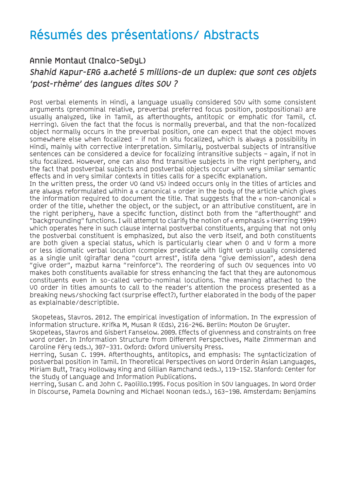### **Annie Montaut (Inalco-SeDyL)**

### **Shahid Kapur-ERG a.acheté 5 millions-de un duplex: que sont ces objets 'post-rhème' des langues dites SOV ?**

Post verbal elements in Hindi, a language usually considered SOV with some consistent arguments (prenominal relative, preverbal preferred focus position, postpositional) are usually analyzed, like in Tamil, as afterthoughts, antitopic or emphatic (for Tamil, cf. Herring). Given the fact that the focus is normally preverbal, and that the non-focalized object normally occurs in the preverbal position, one can expect that the object moves somewhere else when focalized – if not in situ focalized, which is always a possibility in Hindi, mainly with corrective interpretation. Similarly, postverbal subjects of intransitive sentences can be considered a device for focalizing intransitive subjects – again, if not in situ focalized. However, one can also find transitive subjects in the right periphery, and the fact that postverbal subjects and postverbal objects occur with very similar semantic effects and in very similar contexts in titles calls for a specific explanation.

In the written press, the order VO (and VS) indeed occurs only in the titles of articles and are always reformulated within a « canonical » order in the body of the article which gives the information required to document the title. That suggests that the « non-canonical » order of the title, whether the object, or the subject, or an attributive constituent, are in the right periphery, have a specific function, distinct both from the "afterthought" and "backgrounding" functions. I will attempt to clarify the notion of « emphasis » (Herring 1994) which operates here in such clause internal postverbal constituents, arguing that not only the postverbal constituent is emphasized, but also the verb itself, and both constituents are both given a special status, which is particularly clear when O and V form a more or less idiomatic verbal locution (complex predicate with light verb) usually considered as a single unit (giraftar dena "court arrest", istifa dena "give demission", adesh dena "give order", mazbut karna "reinforce"). The reordering of such OV sequences into VO makes both constituents available for stress enhancing the fact that they are autonomous constituents even in so-called verbo-nominal locutions. The meaning attached to the VO order in titles amounts to call to the reader's attention the process presented as a breaking news/shocking fact (surprise effect?), further elaborated in the body of the paper as explainable/descriptible.

 Skopeteas, Stavros. 2012. The empirical investigation of information. In The expression of information structure. Krifka M, Musan R (Eds), 216-246. Berlin: Mouton De Gruyter.

Skopeteas, Stavros and Gisbert Fanselow. 2009. Effects of givenness and constraints on free word order. In Information Structure from Different Perspectives, Malte Zimmerman and Caroline Féry (eds.), 307–331. Oxford: Oxford University Press.

Herring, Susan C. 1994. Afterthoughts, antitopics, and emphasis: The syntacticization of postverbal position in Tamil. In Theoretical Perspectives on Word Orderin Asian Languages, Miriam Butt, Tracy Holloway King and Gillian Ramchand (eds.), 119–152. Stanford: Center for the Study of Language and Information Publications.

Herring, Susan C. and John C. Paolillo.1995. Focus position in SOV languages. In Word Order in Discourse, Pamela Downing and Michael Noonan (eds.), 163–198. Amsterdam: Benjamins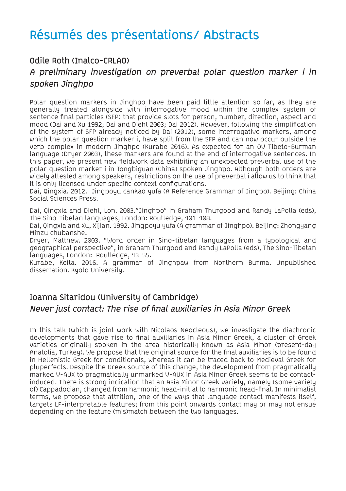### **Odile Roth (Inalco-CRLAO)**

### **A preliminary investigation on preverbal polar question marker i in spoken Jinghpo**

Polar question markers in Jinghpo have been paid little attention so far, as they are generally treated alongside with interrogative mood within the complex system of sentence final particles (SFP) that provide slots for person, number, direction, aspect and mood (Dai and Xu 1992; Dai and Diehl 2003; Dai 2012). However, following the simplification of the system of SFP already noticed by Dai (2012), some interrogative markers, among which the polar question marker i, have split from the SFP and can now occur outside the verb complex in modern Jinghpo (Kurabe 2016). As expected for an OV Tibeto-Burman language (Dryer 2003), these markers are found at the end of interrogative sentences. In this paper, we present new fieldwork data exhibiting an unexpected preverbal use of the polar question marker i in Tongbiguan (China) spoken Jinghpo. Although both orders are widely attested among speakers, restrictions on the use of preverbal i allow us to think that it is only licensed under specific context configurations.

Dai, Qingxia. 2012. Jingpoyu cankao yufa (A Reference Grammar of Jingpo). Beijing: China Social Sciences Press.

Dai, Qingxia and Diehl, Lon. 2003."Jinghpo" in Graham Thurgood and Randy LaPolla (eds), The Sino-Tibetan languages, London: Routledge, 401-408.

Dai, Qingxia and Xu, Xijian. 1992. Jingpoyu yufa (A grammar of Jinghpo). Beijing: Zhongyang Minzu chubanshe.

Dryer, Matthew. 2003. "Word order in Sino-tibetan languages from a typological and geographical perspective", in Graham Thurgood and Randy LaPolla (eds), The Sino-Tibetan languages, London: Routledge, 43-55.

Kurabe, Keita. 2016. A grammar of Jinghpaw from Northern Burma. Unpublished dissertation. Kyoto University.

### **Ioanna Sitaridou (University of Cambridge) Never just contact: The rise of final auxiliaries in Asia Minor Greek**

In this talk (which is joint work with Nicolaos Neocleous), we investigate the diachronic developments that gave rise to final auxiliaries in Asia Minor Greek, a cluster of Greek varieties originally spoken in the area historically known as Asia Minor (present-day Anatolia, Turkey). We propose that the original source for the final auxiliaries is to be found in Hellenistic Greek for conditionals, whereas it can be traced back to Medieval Greek for pluperfects. Despite the Greek source of this change, the development from pragmatically marked V-AUX to pragmatically unmarked V-AUX in Asia Minor Greek seems to be contactinduced. There is strong indication that an Asia Minor Greek variety, namely (some variety of) Cappadocian, changed from harmonic head-initial to harmonic head-final. In minimalist terms, we propose that attrition, one of the ways that language contact manifests itself, targets LF-interpretable features; from this point onwards contact may or may not ensue depending on the feature (mis)match between the two languages.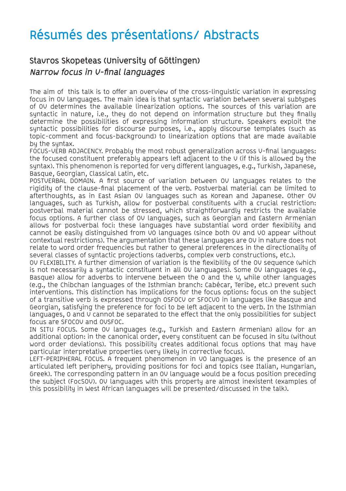# **Stavros Skopeteas (University of Göttingen) Narrow focus in V-final languages**

The aim of this talk is to offer an overview of the cross-linguistic variation in expressing focus in OV languages. The main idea is that syntactic variation between several subtypes of OV determines the available linearization options. The sources of this variation are syntactic in nature, i.e., they do not depend on information structure but they finally determine the possibilities of expressing information structure. Speakers exploit the syntactic possibilities for discourse purposes, i.e., apply discourse templates (such as topic-comment and focus-background) to linearization options that are made available by the syntax.

FOCUS-VERB ADJACENCY. Probably the most robust generalization across V-final languages: the focused constituent preferably appears left adjacent to the V (if this is allowed by the syntax). This phenomenon is reported for very different languages, e.g., Turkish, Japanese, Basque, Georgian, Classical Latin, etc.

POSTVERBAL DOMAIN. A first source of variation between OV languages relates to the rigidity of the clause-final placement of the verb. Postverbal material can be limited to afterthoughts, as in East Asian OV languages such as Korean and Japanese. Other OV languages, such as Turkish, allow for postverbal constituents with a crucial restriction: postverbal material cannot be stressed, which straightforwardly restricts the available focus options. A further class of OV languages, such as Georgian and Eastern Armenian allows for postverbal foci: these languages have substantial word order flexibility and cannot be easily distinguished from VO languages (since both OV and VO appear without contextual restrictions). The argumentation that these languages are OV in nature does not relate to word order frequencies but rather to general preferences in the directionality of several classes of syntactic projections (adverbs, complex verb constructions, etc.).

OV FLEXIBILITY. A further dimension of variation is the flexibility of the OV sequence (which is not necessarily a syntactic constituent in all OV languages). Some OV languages (e.g., Basque) allow for adverbs to intervene between the O and the V, while other languages (e.g., the Chibchan languages of the Isthmian branch: Cabécar, Teribe, etc.) prevent such interventions. This distinction has implications for the focus options: focus on the subject of a transitive verb is expressed through OSFOCV or SFOCVO in languages like Basque and Georgian, satisfying the preference for foci to be left adjacent to the verb. In the Isthmian languages, O and V cannot be separated to the effect that the only possibilities for subject focus are SFOCOV and OVSFOC.

IN SITU FOCUS. Some OV languages (e.g., Turkish and Eastern Armenian) allow for an additional option: in the canonical order, every constituent can be focused in situ (without word order deviations). This possibility creates additional focus options that may have particular interpretative properties (very likely in corrective focus).

LEFT-PERIPHERAL FOCUS. A frequent phenomenon in VO languages is the presence of an articulated left periphery, providing positions for foci and topics (see Italian, Hungarian, Greek). The corresponding pattern in an OV language would be a focus position preceding the subject (FocSOV). OV languages with this property are almost inexistent (examples of this possibility in West African languages will be presented/discussed in the talk).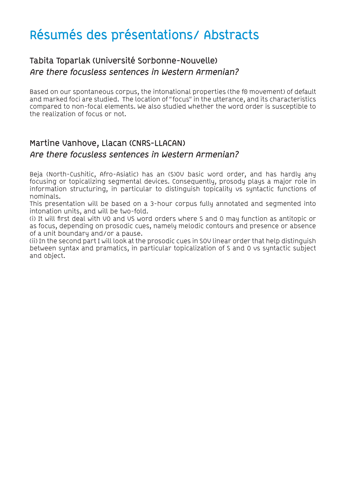### **Tabita Toparlak (Université Sorbonne-Nouvelle) Are there focusless sentences in Western Armenian?**

Based on our spontaneous corpus, the intonational properties (the f0 movement) of default and marked foci are studied. The location of "focus" in the utterance, and its characteristics compared to non-focal elements. We also studied whether the word order is susceptible to the realization of focus or not.

### **Martine Vanhove, Llacan (CNRS-LLACAN) Are there focusless sentences in Western Armenian?**

Beja (North-Cushitic, Afro-Asiatic) has an (S)OV basic word order, and has hardly any focusing or topicalizing segmental devices. Consequently, prosody plays a major role in information structuring, in particular to distinguish topicality vs syntactic functions of nominals.

This presentation will be based on a 3-hour corpus fully annotated and segmented into intonation units, and will be two-fold.

(i) It will first deal with VO and VS word orders where S and O may function as antitopic or as focus, depending on prosodic cues, namely melodic contours and presence or absence of a unit boundary and/or a pause.

(ii) In the second part I will look at the prosodic cues in SOV linear order that help distinguish between syntax and pramatics, in particular topicalization of S and O vs syntactic subject and object.